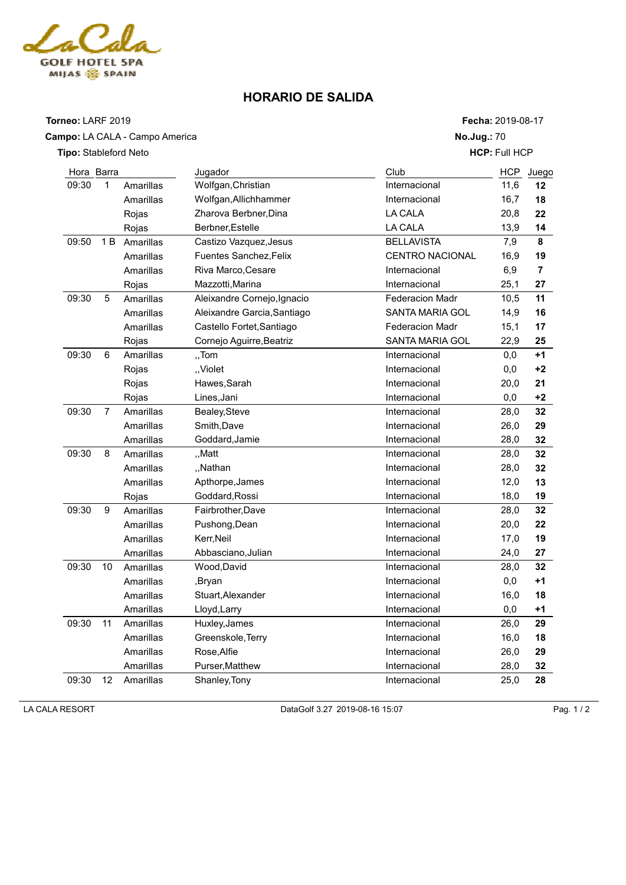

## **HORARIO DE SALIDA**

| Torneo: LARF 2019            |    |                                |                             | Fecha: 2019-08-17      |      |                |  |
|------------------------------|----|--------------------------------|-----------------------------|------------------------|------|----------------|--|
|                              |    | Campo: LA CALA - Campo America |                             | No.Jug.: 70            |      |                |  |
| <b>Tipo:</b> Stableford Neto |    |                                |                             | <b>HCP: Full HCP</b>   |      |                |  |
| Hora Barra                   |    |                                | Jugador                     | Club                   | HCP  | Juego          |  |
| 09:30                        | 1  | Amarillas                      | Wolfgan, Christian          | Internacional          | 11,6 | 12             |  |
|                              |    | Amarillas                      | Wolfgan, Allichhammer       | Internacional          | 16,7 | 18             |  |
|                              |    | Rojas                          | Zharova Berbner, Dina       | LA CALA                | 20,8 | 22             |  |
|                              |    | Rojas                          | Berbner, Estelle            | <b>LA CALA</b>         | 13,9 | 14             |  |
| 09:50                        | 1B | Amarillas                      | Castizo Vazquez, Jesus      | <b>BELLAVISTA</b>      | 7,9  | 8              |  |
|                              |    | Amarillas                      | Fuentes Sanchez, Felix      | <b>CENTRO NACIONAL</b> | 16,9 | 19             |  |
|                              |    | Amarillas                      | Riva Marco, Cesare          | Internacional          | 6,9  | $\overline{7}$ |  |
|                              |    | Rojas                          | Mazzotti, Marina            | Internacional          | 25,1 | 27             |  |
| 09:30                        | 5  | Amarillas                      | Aleixandre Cornejo, Ignacio | Federacion Madr        | 10,5 | 11             |  |
|                              |    | Amarillas                      | Aleixandre Garcia, Santiago | SANTA MARIA GOL        | 14,9 | 16             |  |
|                              |    | Amarillas                      | Castello Fortet, Santiago   | <b>Federacion Madr</b> | 15,1 | 17             |  |
|                              |    | Rojas                          | Cornejo Aguirre, Beatriz    | <b>SANTA MARIA GOL</b> | 22,9 | 25             |  |
| 09:30                        | 6  | Amarillas                      | "Tom                        | Internacional          | 0,0  | $+1$           |  |
|                              |    | Rojas                          | "Violet                     | Internacional          | 0,0  | $+2$           |  |
|                              |    | Rojas                          | Hawes, Sarah                | Internacional          | 20,0 | 21             |  |
|                              |    | Rojas                          | Lines, Jani                 | Internacional          | 0,0  | $+2$           |  |
| 09:30                        | 7  | Amarillas                      | Bealey, Steve               | Internacional          | 28,0 | 32             |  |
|                              |    | Amarillas                      | Smith, Dave                 | Internacional          | 26,0 | 29             |  |
|                              |    | Amarillas                      | Goddard, Jamie              | Internacional          | 28,0 | 32             |  |
| 09:30                        | 8  | Amarillas                      | "Matt                       | Internacional          | 28,0 | 32             |  |
|                              |    | Amarillas                      | "Nathan                     | Internacional          | 28,0 | 32             |  |
|                              |    | Amarillas                      | Apthorpe, James             | Internacional          | 12,0 | 13             |  |
|                              |    | Rojas                          | Goddard, Rossi              | Internacional          | 18,0 | 19             |  |
| 09:30                        | 9  | Amarillas                      | Fairbrother, Dave           | Internacional          | 28,0 | 32             |  |
|                              |    | Amarillas                      | Pushong, Dean               | Internacional          | 20,0 | 22             |  |
|                              |    | Amarillas                      | Kerr, Neil                  | Internacional          | 17,0 | 19             |  |
|                              |    | Amarillas                      | Abbasciano, Julian          | Internacional          | 24,0 | 27             |  |
| 09:30                        | 10 | Amarillas                      | Wood, David                 | Internacional          | 28,0 | 32             |  |
|                              |    | Amarillas                      | ,Bryan                      | Internacional          | 0,0  | $+1$           |  |
|                              |    | Amarillas                      | Stuart, Alexander           | Internacional          | 16,0 | 18             |  |
|                              |    | Amarillas                      | Lloyd, Larry                | Internacional          | 0,0  | $+1$           |  |
| 09:30                        | 11 | Amarillas                      | Huxley, James               | Internacional          | 26,0 | 29             |  |
|                              |    | Amarillas                      | Greenskole, Terry           | Internacional          | 16,0 | 18             |  |
|                              |    | Amarillas                      | Rose, Alfie                 | Internacional          | 26,0 | 29             |  |
|                              |    | Amarillas                      | Purser, Matthew             | Internacional          | 28,0 | 32             |  |
| 09:30                        | 12 | Amarillas                      | Shanley, Tony               | Internacional          | 25,0 | 28             |  |

**LA CALA RESORT** Pag. 1 / 2 Pag. 1 / 2 DataGolf 3.27 2019-08-16 15:07 Pag. 1 / 2